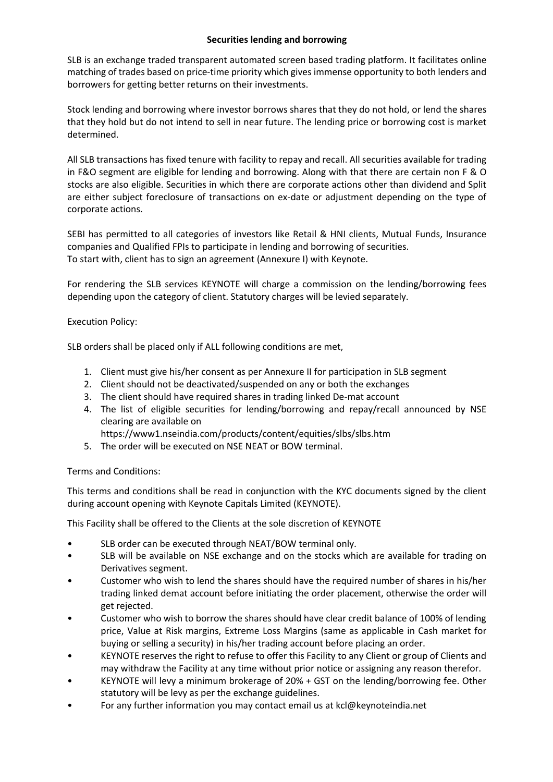## **Securities lending and borrowing**

SLB is an exchange traded transparent automated screen based trading platform. It facilitates online matching of trades based on price-time priority which gives immense opportunity to both lenders and borrowers for getting better returns on their investments.

Stock lending and borrowing where investor borrows shares that they do not hold, or lend the shares that they hold but do not intend to sell in near future. The lending price or borrowing cost is market determined.

All SLB transactions has fixed tenure with facility to repay and recall. All securities available for trading in F&O segment are eligible for lending and borrowing. Along with that there are certain non F & O stocks are also eligible. Securities in which there are corporate actions other than dividend and Split are either subject foreclosure of transactions on ex-date or adjustment depending on the type of corporate actions.

SEBI has permitted to all categories of investors like Retail & HNI clients, Mutual Funds, Insurance companies and Qualified FPIs to participate in lending and borrowing of securities. To start with, client has to sign an agreement (Annexure I) with Keynote.

For rendering the SLB services KEYNOTE will charge a commission on the lending/borrowing fees depending upon the category of client. Statutory charges will be levied separately.

# Execution Policy:

SLB orders shall be placed only if ALL following conditions are met,

- 1. Client must give his/her consent as per Annexure II for participation in SLB segment
- 2. Client should not be deactivated/suspended on any or both the exchanges
- 3. The client should have required shares in trading linked De-mat account
- 4. The list of eligible securities for lending/borrowing and repay/recall announced by NSE clearing are available on
	- https://www1.nseindia.com/products/content/equities/slbs/slbs.htm
- 5. The order will be executed on NSE NEAT or BOW terminal.

### Terms and Conditions:

This terms and conditions shall be read in conjunction with the KYC documents signed by the client during account opening with Keynote Capitals Limited (KEYNOTE).

This Facility shall be offered to the Clients at the sole discretion of KEYNOTE

- SLB order can be executed through NEAT/BOW terminal only.
- SLB will be available on NSE exchange and on the stocks which are available for trading on Derivatives segment.
- Customer who wish to lend the shares should have the required number of shares in his/her trading linked demat account before initiating the order placement, otherwise the order will get rejected.
- Customer who wish to borrow the shares should have clear credit balance of 100% of lending price, Value at Risk margins, Extreme Loss Margins (same as applicable in Cash market for buying or selling a security) in his/her trading account before placing an order.
- KEYNOTE reserves the right to refuse to offer this Facility to any Client or group of Clients and may withdraw the Facility at any time without prior notice or assigning any reason therefor.
- KEYNOTE will levy a minimum brokerage of 20% + GST on the lending/borrowing fee. Other statutory will be levy as per the exchange guidelines.
- For any further information you may contact email us at kcl@keynoteindia.net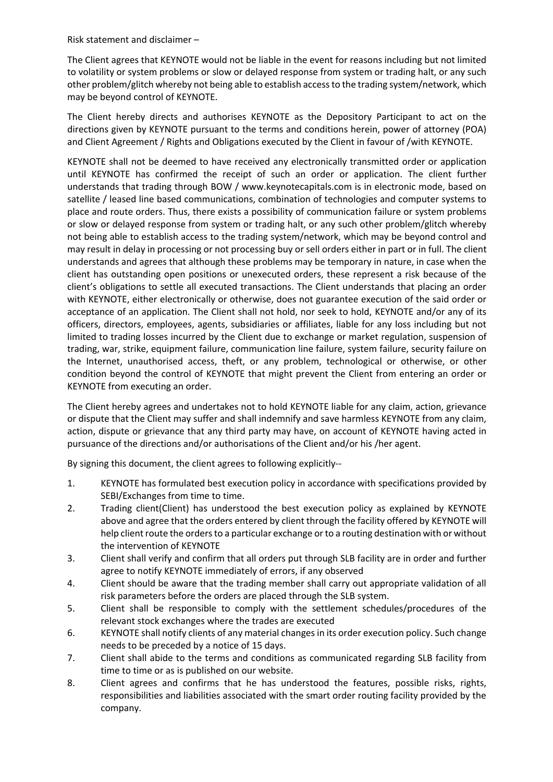Risk statement and disclaimer –

The Client agrees that KEYNOTE would not be liable in the event for reasons including but not limited to volatility or system problems or slow or delayed response from system or trading halt, or any such other problem/glitch whereby not being able to establish access to the trading system/network, which may be beyond control of KEYNOTE.

The Client hereby directs and authorises KEYNOTE as the Depository Participant to act on the directions given by KEYNOTE pursuant to the terms and conditions herein, power of attorney (POA) and Client Agreement / Rights and Obligations executed by the Client in favour of /with KEYNOTE.

KEYNOTE shall not be deemed to have received any electronically transmitted order or application until KEYNOTE has confirmed the receipt of such an order or application. The client further understands that trading through BOW / www.keynotecapitals.com is in electronic mode, based on satellite / leased line based communications, combination of technologies and computer systems to place and route orders. Thus, there exists a possibility of communication failure or system problems or slow or delayed response from system or trading halt, or any such other problem/glitch whereby not being able to establish access to the trading system/network, which may be beyond control and may result in delay in processing or not processing buy or sell orders either in part or in full. The client understands and agrees that although these problems may be temporary in nature, in case when the client has outstanding open positions or unexecuted orders, these represent a risk because of the client's obligations to settle all executed transactions. The Client understands that placing an order with KEYNOTE, either electronically or otherwise, does not guarantee execution of the said order or acceptance of an application. The Client shall not hold, nor seek to hold, KEYNOTE and/or any of its officers, directors, employees, agents, subsidiaries or affiliates, liable for any loss including but not limited to trading losses incurred by the Client due to exchange or market regulation, suspension of trading, war, strike, equipment failure, communication line failure, system failure, security failure on the Internet, unauthorised access, theft, or any problem, technological or otherwise, or other condition beyond the control of KEYNOTE that might prevent the Client from entering an order or KEYNOTE from executing an order.

The Client hereby agrees and undertakes not to hold KEYNOTE liable for any claim, action, grievance or dispute that the Client may suffer and shall indemnify and save harmless KEYNOTE from any claim, action, dispute or grievance that any third party may have, on account of KEYNOTE having acted in pursuance of the directions and/or authorisations of the Client and/or his /her agent.

By signing this document, the client agrees to following explicitly--

- 1. KEYNOTE has formulated best execution policy in accordance with specifications provided by SEBI/Exchanges from time to time.
- 2. Trading client(Client) has understood the best execution policy as explained by KEYNOTE above and agree that the orders entered by client through the facility offered by KEYNOTE will help client route the orders to a particular exchange or to a routing destination with or without the intervention of KEYNOTE
- 3. Client shall verify and confirm that all orders put through SLB facility are in order and further agree to notify KEYNOTE immediately of errors, if any observed
- 4. Client should be aware that the trading member shall carry out appropriate validation of all risk parameters before the orders are placed through the SLB system.
- 5. Client shall be responsible to comply with the settlement schedules/procedures of the relevant stock exchanges where the trades are executed
- 6. KEYNOTE shall notify clients of any material changes in its order execution policy. Such change needs to be preceded by a notice of 15 days.
- 7. Client shall abide to the terms and conditions as communicated regarding SLB facility from time to time or as is published on our website.
- 8. Client agrees and confirms that he has understood the features, possible risks, rights, responsibilities and liabilities associated with the smart order routing facility provided by the company.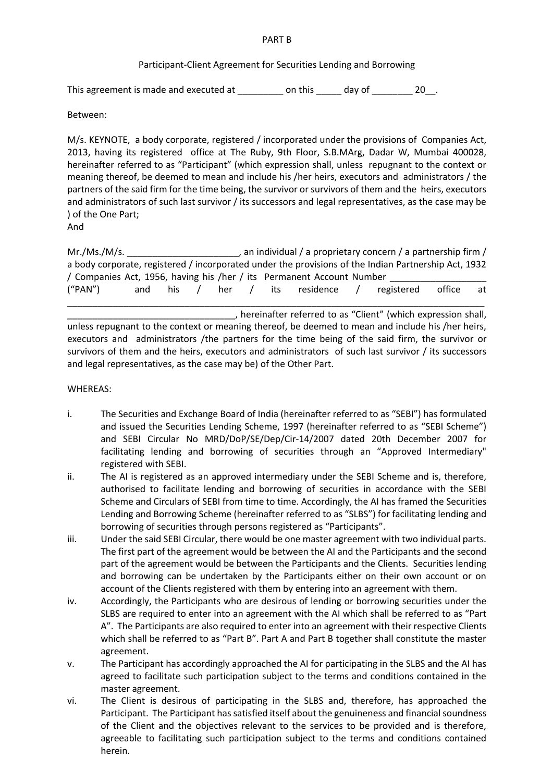#### PART B

## Participant-Client Agreement for Securities Lending and Borrowing

This agreement is made and executed at \_\_\_\_\_\_\_\_ on this \_\_\_\_\_ day of \_\_\_\_\_\_\_ 20\_\_.

Between:

M/s. KEYNOTE, a body corporate, registered / incorporated under the provisions of Companies Act, 2013, having its registered office at The Ruby, 9th Floor, S.B.MArg, Dadar W, Mumbai 400028, hereinafter referred to as "Participant" (which expression shall, unless repugnant to the context or meaning thereof, be deemed to mean and include his /her heirs, executors and administrators / the partners of the said firm for the time being, the survivor or survivors of them and the heirs, executors and administrators of such last survivor / its successors and legal representatives, as the case may be ) of the One Part;

And

Mr./Ms./M/s. \_\_\_\_\_\_\_\_\_\_\_\_\_\_\_\_\_\_\_\_\_\_\_\_\_\_, an individual / a proprietary concern / a partnership firm / a body corporate, registered / incorporated under the provisions of the Indian Partnership Act, 1932 / Companies Act, 1956, having his /her / its Permanent Account Number ("PAN") and his / her / its residence / registered office at \_\_\_\_\_\_\_\_\_\_\_\_\_\_\_\_\_\_\_\_\_\_\_\_\_\_\_\_\_\_\_\_\_\_\_\_\_\_\_\_\_\_\_\_\_\_\_\_\_\_\_\_\_\_\_\_\_\_\_\_\_\_\_\_\_\_\_\_\_\_\_\_\_\_\_\_\_\_\_\_\_\_

\_\_\_\_\_\_\_\_\_\_\_\_\_\_\_\_\_\_\_\_\_\_\_\_\_\_\_\_\_\_\_\_\_, hereinafter referred to as "Client" (which expression shall, unless repugnant to the context or meaning thereof, be deemed to mean and include his /her heirs, executors and administrators /the partners for the time being of the said firm, the survivor or survivors of them and the heirs, executors and administrators of such last survivor / its successors and legal representatives, as the case may be) of the Other Part.

## WHEREAS:

- i. The Securities and Exchange Board of India (hereinafter referred to as "SEBI") has formulated and issued the Securities Lending Scheme, 1997 (hereinafter referred to as "SEBI Scheme") and SEBI Circular No MRD/DoP/SE/Dep/Cir-14/2007 dated 20th December 2007 for facilitating lending and borrowing of securities through an "Approved Intermediary" registered with SEBI.
- ii. The AI is registered as an approved intermediary under the SEBI Scheme and is, therefore, authorised to facilitate lending and borrowing of securities in accordance with the SEBI Scheme and Circulars of SEBI from time to time. Accordingly, the AI has framed the Securities Lending and Borrowing Scheme (hereinafter referred to as "SLBS") for facilitating lending and borrowing of securities through persons registered as "Participants".
- iii. Under the said SEBI Circular, there would be one master agreement with two individual parts. The first part of the agreement would be between the AI and the Participants and the second part of the agreement would be between the Participants and the Clients. Securities lending and borrowing can be undertaken by the Participants either on their own account or on account of the Clients registered with them by entering into an agreement with them.
- iv. Accordingly, the Participants who are desirous of lending or borrowing securities under the SLBS are required to enter into an agreement with the AI which shall be referred to as "Part A". The Participants are also required to enter into an agreement with their respective Clients which shall be referred to as "Part B". Part A and Part B together shall constitute the master agreement.
- v. The Participant has accordingly approached the AI for participating in the SLBS and the AI has agreed to facilitate such participation subject to the terms and conditions contained in the master agreement.
- vi. The Client is desirous of participating in the SLBS and, therefore, has approached the Participant. The Participant has satisfied itself about the genuineness and financial soundness of the Client and the objectives relevant to the services to be provided and is therefore, agreeable to facilitating such participation subject to the terms and conditions contained herein.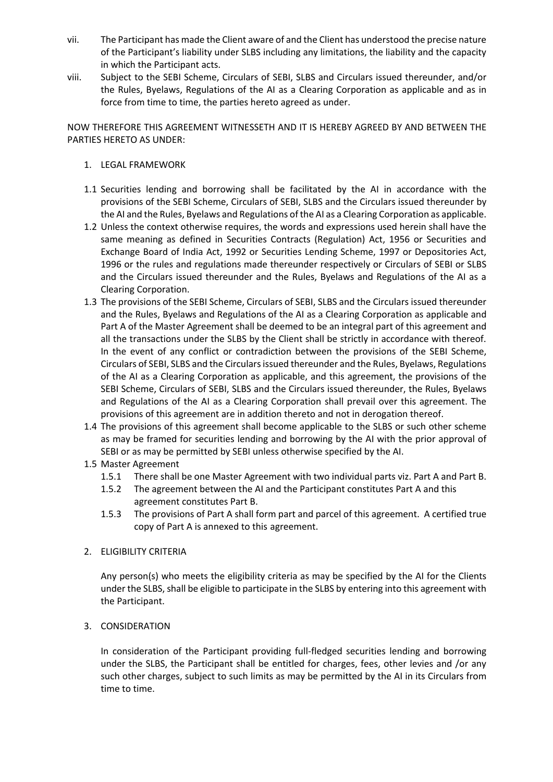- vii. The Participant has made the Client aware of and the Client has understood the precise nature of the Participant's liability under SLBS including any limitations, the liability and the capacity in which the Participant acts.
- viii. Subject to the SEBI Scheme, Circulars of SEBI, SLBS and Circulars issued thereunder, and/or the Rules, Byelaws, Regulations of the AI as a Clearing Corporation as applicable and as in force from time to time, the parties hereto agreed as under.

NOW THEREFORE THIS AGREEMENT WITNESSETH AND IT IS HEREBY AGREED BY AND BETWEEN THE PARTIES HERETO AS UNDER:

- 1. LEGAL FRAMEWORK
- 1.1 Securities lending and borrowing shall be facilitated by the AI in accordance with the provisions of the SEBI Scheme, Circulars of SEBI, SLBS and the Circulars issued thereunder by the AI and the Rules, Byelaws and Regulations of the AI as a Clearing Corporation as applicable.
- 1.2 Unless the context otherwise requires, the words and expressions used herein shall have the same meaning as defined in Securities Contracts (Regulation) Act, 1956 or Securities and Exchange Board of India Act, 1992 or Securities Lending Scheme, 1997 or Depositories Act, 1996 or the rules and regulations made thereunder respectively or Circulars of SEBI or SLBS and the Circulars issued thereunder and the Rules, Byelaws and Regulations of the AI as a Clearing Corporation.
- 1.3 The provisions of the SEBI Scheme, Circulars of SEBI, SLBS and the Circulars issued thereunder and the Rules, Byelaws and Regulations of the AI as a Clearing Corporation as applicable and Part A of the Master Agreement shall be deemed to be an integral part of this agreement and all the transactions under the SLBS by the Client shall be strictly in accordance with thereof. In the event of any conflict or contradiction between the provisions of the SEBI Scheme, Circulars of SEBI, SLBS and the Circulars issued thereunder and the Rules, Byelaws, Regulations of the AI as a Clearing Corporation as applicable, and this agreement, the provisions of the SEBI Scheme, Circulars of SEBI, SLBS and the Circulars issued thereunder, the Rules, Byelaws and Regulations of the AI as a Clearing Corporation shall prevail over this agreement. The provisions of this agreement are in addition thereto and not in derogation thereof.
- 1.4 The provisions of this agreement shall become applicable to the SLBS or such other scheme as may be framed for securities lending and borrowing by the AI with the prior approval of SEBI or as may be permitted by SEBI unless otherwise specified by the AI.
- 1.5 Master Agreement
	- 1.5.1 There shall be one Master Agreement with two individual parts viz. Part A and Part B.
	- 1.5.2 The agreement between the AI and the Participant constitutes Part A and this agreement constitutes Part B.
	- 1.5.3 The provisions of Part A shall form part and parcel of this agreement. A certified true copy of Part A is annexed to this agreement.

### 2. ELIGIBILITY CRITERIA

Any person(s) who meets the eligibility criteria as may be specified by the AI for the Clients under the SLBS, shall be eligible to participate in the SLBS by entering into this agreement with the Participant.

# 3. CONSIDERATION

In consideration of the Participant providing full-fledged securities lending and borrowing under the SLBS, the Participant shall be entitled for charges, fees, other levies and /or any such other charges, subject to such limits as may be permitted by the AI in its Circulars from time to time.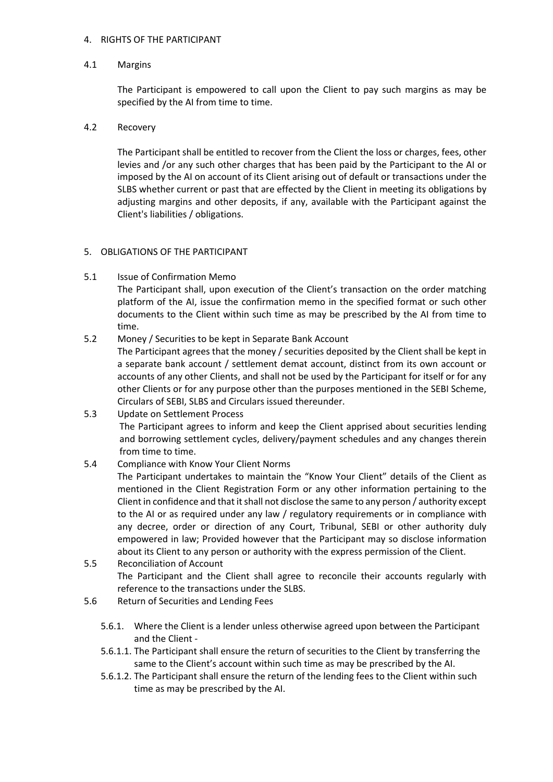### 4. RIGHTS OF THE PARTICIPANT

### 4.1 Margins

The Participant is empowered to call upon the Client to pay such margins as may be specified by the AI from time to time.

### 4.2 Recovery

The Participant shall be entitled to recover from the Client the loss or charges, fees, other levies and /or any such other charges that has been paid by the Participant to the AI or imposed by the AI on account of its Client arising out of default or transactions under the SLBS whether current or past that are effected by the Client in meeting its obligations by adjusting margins and other deposits, if any, available with the Participant against the Client's liabilities / obligations.

#### 5. OBLIGATIONS OF THE PARTICIPANT

5.1 Issue of Confirmation Memo

The Participant shall, upon execution of the Client's transaction on the order matching platform of the AI, issue the confirmation memo in the specified format or such other documents to the Client within such time as may be prescribed by the AI from time to time.

5.2 Money / Securities to be kept in Separate Bank Account

The Participant agrees that the money / securities deposited by the Client shall be kept in a separate bank account / settlement demat account, distinct from its own account or accounts of any other Clients, and shall not be used by the Participant for itself or for any other Clients or for any purpose other than the purposes mentioned in the SEBI Scheme, Circulars of SEBI, SLBS and Circulars issued thereunder.

5.3 Update on Settlement Process The Participant agrees to inform and keep the Client apprised about securities lending and borrowing settlement cycles, delivery/payment schedules and any changes therein from time to time.

### 5.4 Compliance with Know Your Client Norms

The Participant undertakes to maintain the "Know Your Client" details of the Client as mentioned in the Client Registration Form or any other information pertaining to the Client in confidence and that it shall not disclose the same to any person / authority except to the AI or as required under any law / regulatory requirements or in compliance with any decree, order or direction of any Court, Tribunal, SEBI or other authority duly empowered in law; Provided however that the Participant may so disclose information about its Client to any person or authority with the express permission of the Client.

- 5.5 Reconciliation of Account The Participant and the Client shall agree to reconcile their accounts regularly with reference to the transactions under the SLBS.
- 5.6 Return of Securities and Lending Fees
	- 5.6.1. Where the Client is a lender unless otherwise agreed upon between the Participant and the Client -
	- 5.6.1.1. The Participant shall ensure the return of securities to the Client by transferring the same to the Client's account within such time as may be prescribed by the AI.
	- 5.6.1.2. The Participant shall ensure the return of the lending fees to the Client within such time as may be prescribed by the AI.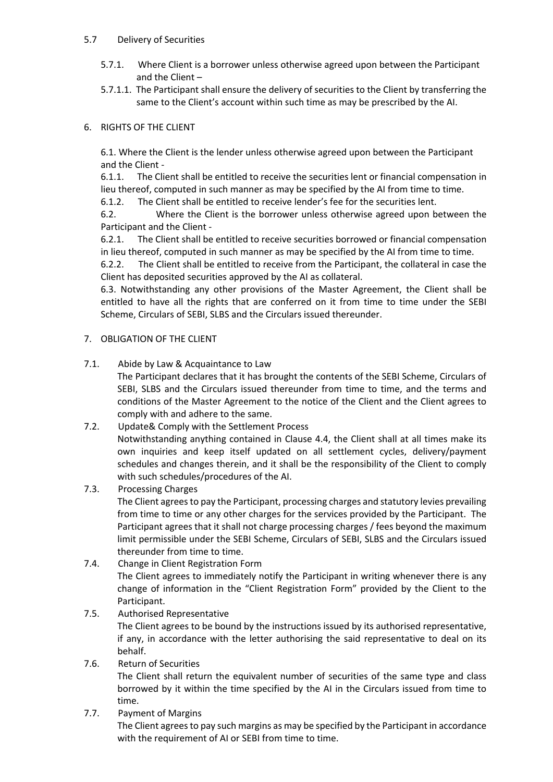## 5.7 Delivery of Securities

- 5.7.1. Where Client is a borrower unless otherwise agreed upon between the Participant and the Client –
- 5.7.1.1. The Participant shall ensure the delivery of securities to the Client by transferring the same to the Client's account within such time as may be prescribed by the AI.

# 6. RIGHTS OF THE CLIENT

6.1. Where the Client is the lender unless otherwise agreed upon between the Participant and the Client -

6.1.1. The Client shall be entitled to receive the securities lent or financial compensation in lieu thereof, computed in such manner as may be specified by the AI from time to time.

6.1.2. The Client shall be entitled to receive lender's fee for the securities lent.

6.2. Where the Client is the borrower unless otherwise agreed upon between the Participant and the Client -

6.2.1. The Client shall be entitled to receive securities borrowed or financial compensation in lieu thereof, computed in such manner as may be specified by the AI from time to time.

6.2.2. The Client shall be entitled to receive from the Participant, the collateral in case the Client has deposited securities approved by the AI as collateral.

6.3. Notwithstanding any other provisions of the Master Agreement, the Client shall be entitled to have all the rights that are conferred on it from time to time under the SEBI Scheme, Circulars of SEBI, SLBS and the Circulars issued thereunder.

## 7. OBLIGATION OF THE CLIENT

7.1. Abide by Law & Acquaintance to Law

The Participant declares that it has brought the contents of the SEBI Scheme, Circulars of SEBI, SLBS and the Circulars issued thereunder from time to time, and the terms and conditions of the Master Agreement to the notice of the Client and the Client agrees to comply with and adhere to the same.

7.2. Update& Comply with the Settlement Process

Notwithstanding anything contained in Clause 4.4, the Client shall at all times make its own inquiries and keep itself updated on all settlement cycles, delivery/payment schedules and changes therein, and it shall be the responsibility of the Client to comply with such schedules/procedures of the AI.

7.3. Processing Charges

The Client agrees to pay the Participant, processing charges and statutory levies prevailing from time to time or any other charges for the services provided by the Participant. The Participant agrees that it shall not charge processing charges / fees beyond the maximum limit permissible under the SEBI Scheme, Circulars of SEBI, SLBS and the Circulars issued thereunder from time to time.

7.4. Change in Client Registration Form

The Client agrees to immediately notify the Participant in writing whenever there is any change of information in the "Client Registration Form" provided by the Client to the Participant.

## 7.5. Authorised Representative The Client agrees to be bound by the instructions issued by its authorised representative, if any, in accordance with the letter authorising the said representative to deal on its behalf.

### 7.6. Return of Securities

The Client shall return the equivalent number of securities of the same type and class borrowed by it within the time specified by the AI in the Circulars issued from time to time.

7.7. Payment of Margins

The Client agrees to pay such margins as may be specified by the Participant in accordance with the requirement of AI or SEBI from time to time.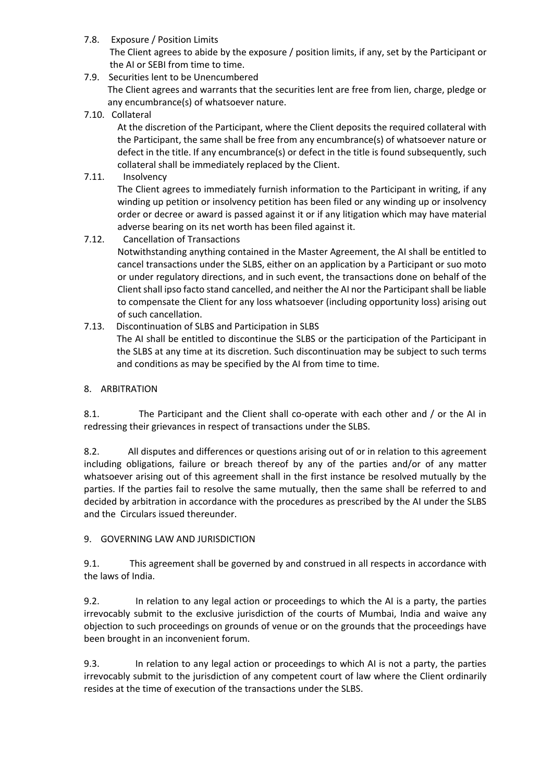7.8. Exposure / Position Limits

The Client agrees to abide by the exposure / position limits, if any, set by the Participant or the AI or SEBI from time to time.

- 7.9. Securities lent to be Unencumbered The Client agrees and warrants that the securities lent are free from lien, charge, pledge or any encumbrance(s) of whatsoever nature.
- 7.10. Collateral

At the discretion of the Participant, where the Client deposits the required collateral with the Participant, the same shall be free from any encumbrance(s) of whatsoever nature or defect in the title. If any encumbrance(s) or defect in the title is found subsequently, such collateral shall be immediately replaced by the Client.

7.11. Insolvency

The Client agrees to immediately furnish information to the Participant in writing, if any winding up petition or insolvency petition has been filed or any winding up or insolvency order or decree or award is passed against it or if any litigation which may have material adverse bearing on its net worth has been filed against it.

- 7.12. Cancellation of Transactions Notwithstanding anything contained in the Master Agreement, the AI shall be entitled to cancel transactions under the SLBS, either on an application by a Participant or suo moto or under regulatory directions, and in such event, the transactions done on behalf of the Client shall ipso facto stand cancelled, and neither the AI nor the Participant shall be liable to compensate the Client for any loss whatsoever (including opportunity loss) arising out of such cancellation.
- 7.13. Discontinuation of SLBS and Participation in SLBS The AI shall be entitled to discontinue the SLBS or the participation of the Participant in the SLBS at any time at its discretion. Such discontinuation may be subject to such terms and conditions as may be specified by the AI from time to time.

# 8. ARBITRATION

8.1. The Participant and the Client shall co-operate with each other and / or the AI in redressing their grievances in respect of transactions under the SLBS.

8.2. All disputes and differences or questions arising out of or in relation to this agreement including obligations, failure or breach thereof by any of the parties and/or of any matter whatsoever arising out of this agreement shall in the first instance be resolved mutually by the parties. If the parties fail to resolve the same mutually, then the same shall be referred to and decided by arbitration in accordance with the procedures as prescribed by the AI under the SLBS and the Circulars issued thereunder.

# 9. GOVERNING LAW AND JURISDICTION

9.1. This agreement shall be governed by and construed in all respects in accordance with the laws of India.

9.2. In relation to any legal action or proceedings to which the AI is a party, the parties irrevocably submit to the exclusive jurisdiction of the courts of Mumbai, India and waive any objection to such proceedings on grounds of venue or on the grounds that the proceedings have been brought in an inconvenient forum.

9.3. In relation to any legal action or proceedings to which AI is not a party, the parties irrevocably submit to the jurisdiction of any competent court of law where the Client ordinarily resides at the time of execution of the transactions under the SLBS.